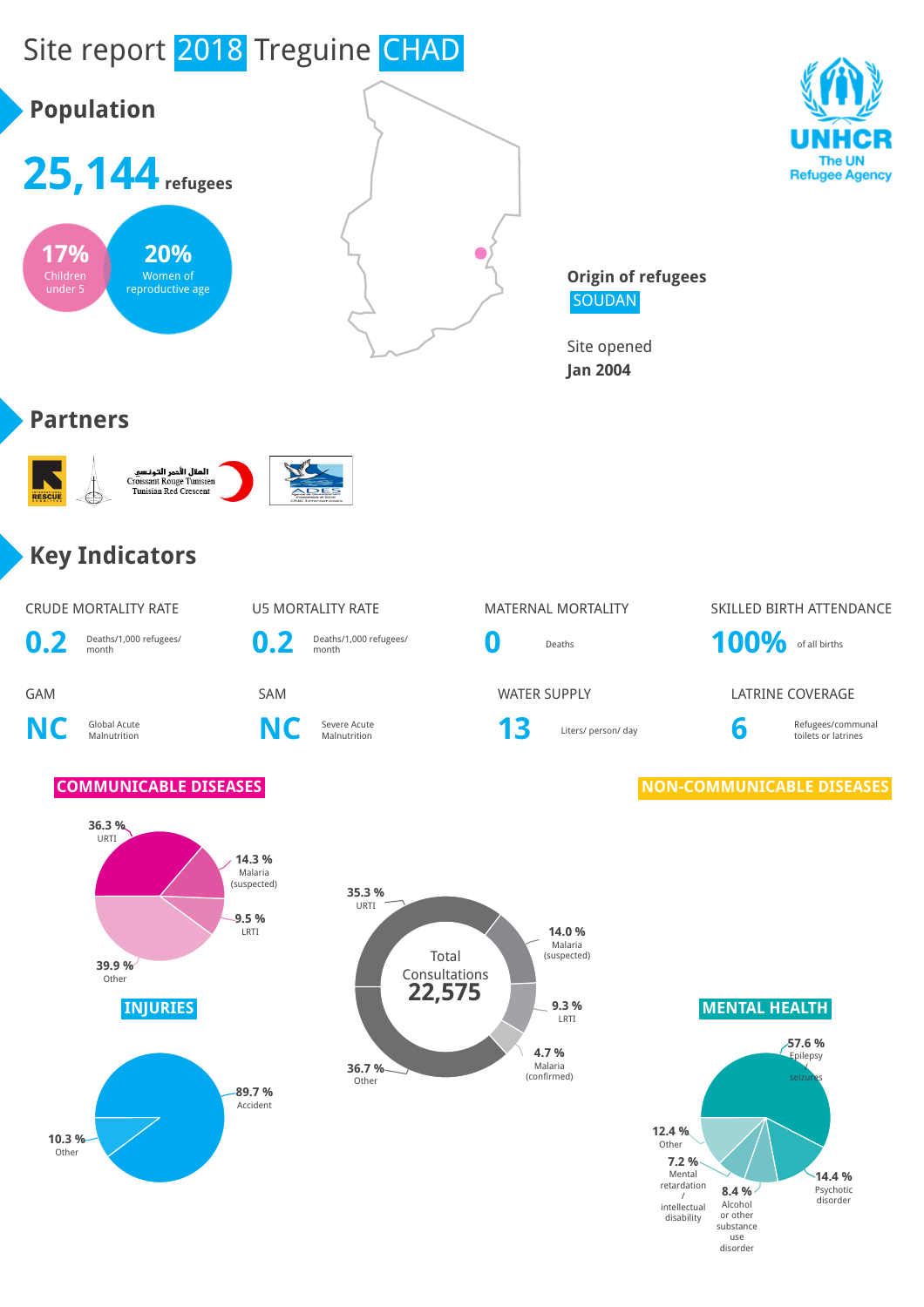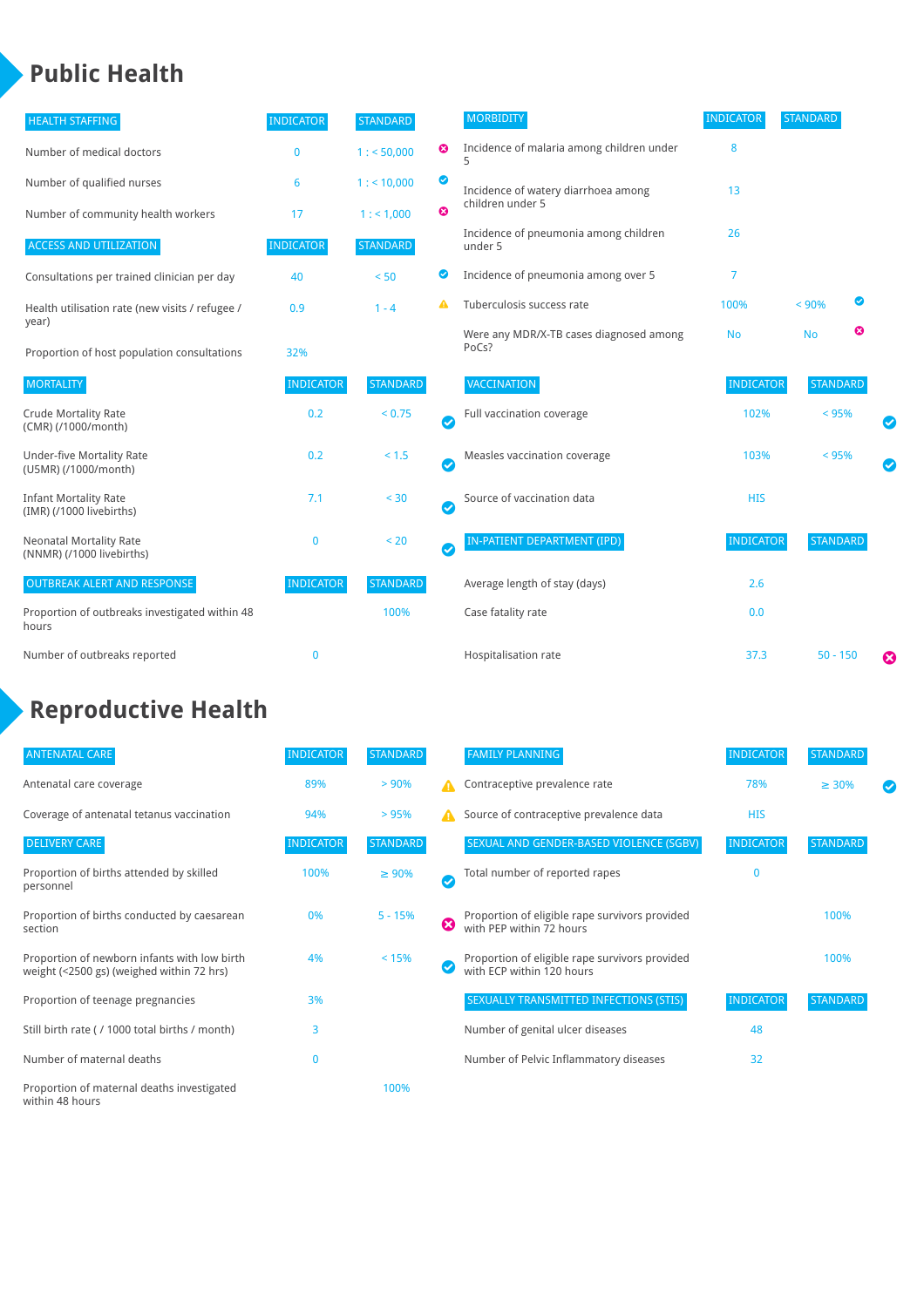## **Public Health**

| <b>HEALTH STAFFING</b>                                      | <b>INDICATOR</b> | <b>STANDARD</b> |           | <b>MORBIDITY</b>                                 | <b>INDICATOR</b> | <b>STANDARD</b> |   |   |
|-------------------------------------------------------------|------------------|-----------------|-----------|--------------------------------------------------|------------------|-----------------|---|---|
| Number of medical doctors                                   | $\bf{0}$         | 1: 50,000       | ☺         | Incidence of malaria among children under<br>5   | 8                |                 |   |   |
| Number of qualified nurses                                  | 6                | $1:$ < 10,000   | ◕         | Incidence of watery diarrhoea among              | 13               |                 |   |   |
| Number of community health workers                          | 17               | 1: 1,000        | ೞ         | children under 5                                 |                  |                 |   |   |
| <b>ACCESS AND UTILIZATION</b>                               | <b>INDICATOR</b> | <b>STANDARD</b> |           | Incidence of pneumonia among children<br>under 5 | 26               |                 |   |   |
| Consultations per trained clinician per day                 | 40               | < 50            | Ø         | Incidence of pneumonia among over 5              | 7                |                 |   |   |
| Health utilisation rate (new visits / refugee /             | 0.9              | $1 - 4$         |           | Tuberculosis success rate                        | 100%             | < 90%           |   |   |
| year)<br>Proportion of host population consultations        | 32%              |                 |           | Were any MDR/X-TB cases diagnosed among<br>PoCs? | <b>No</b>        | <b>No</b>       | ఴ |   |
| <b>MORTALITY</b>                                            | <b>INDICATOR</b> | <b>STANDARD</b> |           | VACCINATION                                      | <b>INDICATOR</b> | <b>STANDARD</b> |   |   |
| <b>Crude Mortality Rate</b><br>(CMR) (/1000/month)          | 0.2              | < 0.75          | $\bullet$ | Full vaccination coverage                        | 102%             | < 95%           |   |   |
| <b>Under-five Mortality Rate</b><br>(U5MR) (/1000/month)    | 0.2              | $< 1.5$         | Ø         | Measles vaccination coverage                     | 103%             | < 95%           |   | Ø |
| <b>Infant Mortality Rate</b><br>(IMR) (/1000 livebirths)    | 7.1              | < 30            | $\bullet$ | Source of vaccination data                       | <b>HIS</b>       |                 |   |   |
| <b>Neonatal Mortality Rate</b><br>(NNMR) (/1000 livebirths) | $\mathbf 0$      | < 20            | $\bullet$ | <b>IN-PATIENT DEPARTMENT (IPD)</b>               | <b>INDICATOR</b> | <b>STANDARD</b> |   |   |
| <b>OUTBREAK ALERT AND RESPONSE</b>                          | <b>INDICATOR</b> | <b>STANDARD</b> |           | Average length of stay (days)                    | 2.6              |                 |   |   |
| Proportion of outbreaks investigated within 48<br>hours     |                  | 100%            |           | Case fatality rate                               | 0.0              |                 |   |   |
| Number of outbreaks reported                                | $\mathbf{0}$     |                 |           | Hospitalisation rate                             | 37.3             | $50 - 150$      |   | € |

# **Reproductive Health**

| <b>ANTENATAL CARE</b>                                                                     | <b>INDICATOR</b> | <b>STANDARD</b> |           | <b>FAMILY PLANNING</b>                                                      | <b>INDICATOR</b> | <b>STANDARD</b> |  |
|-------------------------------------------------------------------------------------------|------------------|-----------------|-----------|-----------------------------------------------------------------------------|------------------|-----------------|--|
| Antenatal care coverage                                                                   | 89%              | > 90%           |           | Contraceptive prevalence rate                                               | 78%              | $\geq 30\%$     |  |
| Coverage of antenatal tetanus vaccination                                                 | 94%              | > 95%           |           | Source of contraceptive prevalence data                                     | <b>HIS</b>       |                 |  |
| <b>DELIVERY CARE</b>                                                                      | <b>INDICATOR</b> | <b>STANDARD</b> |           | SEXUAL AND GENDER-BASED VIOLENCE (SGBV)                                     | <b>INDICATOR</b> | <b>STANDARD</b> |  |
| Proportion of births attended by skilled<br>personnel                                     | 100%             | $\geq 90\%$     | $\bullet$ | Total number of reported rapes                                              | $\mathbf{0}$     |                 |  |
| Proportion of births conducted by caesarean<br>section                                    | 0%               | $5 - 15%$       | ☺         | Proportion of eligible rape survivors provided<br>with PEP within 72 hours  |                  | 100%            |  |
| Proportion of newborn infants with low birth<br>weight (<2500 gs) (weighed within 72 hrs) | 4%               | < 15%           |           | Proportion of eligible rape survivors provided<br>with ECP within 120 hours |                  | 100%            |  |
| Proportion of teenage pregnancies                                                         | 3%               |                 |           | SEXUALLY TRANSMITTED INFECTIONS (STIS)                                      | <b>INDICATOR</b> | <b>STANDARD</b> |  |
| Still birth rate (/ 1000 total births / month)                                            | 3                |                 |           | Number of genital ulcer diseases                                            | 48               |                 |  |
| Number of maternal deaths                                                                 | 0                |                 |           | Number of Pelvic Inflammatory diseases                                      | 32               |                 |  |
| Proportion of maternal deaths investigated<br>within 48 hours                             |                  | 100%            |           |                                                                             |                  |                 |  |